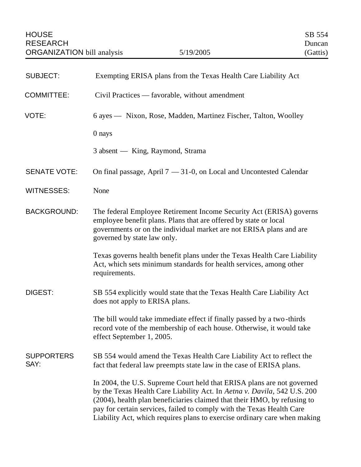| <b>SUBJECT:</b>           | Exempting ERISA plans from the Texas Health Care Liability Act                                                                                                                                                                                                                                                                                                                       |
|---------------------------|--------------------------------------------------------------------------------------------------------------------------------------------------------------------------------------------------------------------------------------------------------------------------------------------------------------------------------------------------------------------------------------|
| <b>COMMITTEE:</b>         | Civil Practices — favorable, without amendment                                                                                                                                                                                                                                                                                                                                       |
| VOTE:                     | 6 ayes — Nixon, Rose, Madden, Martinez Fischer, Talton, Woolley                                                                                                                                                                                                                                                                                                                      |
|                           | 0 nays                                                                                                                                                                                                                                                                                                                                                                               |
|                           | 3 absent — King, Raymond, Strama                                                                                                                                                                                                                                                                                                                                                     |
| <b>SENATE VOTE:</b>       | On final passage, April $7 - 31-0$ , on Local and Uncontested Calendar                                                                                                                                                                                                                                                                                                               |
| <b>WITNESSES:</b>         | None                                                                                                                                                                                                                                                                                                                                                                                 |
| <b>BACKGROUND:</b>        | The federal Employee Retirement Income Security Act (ERISA) governs<br>employee benefit plans. Plans that are offered by state or local<br>governments or on the individual market are not ERISA plans and are<br>governed by state law only.                                                                                                                                        |
|                           | Texas governs health benefit plans under the Texas Health Care Liability<br>Act, which sets minimum standards for health services, among other<br>requirements.                                                                                                                                                                                                                      |
| DIGEST:                   | SB 554 explicitly would state that the Texas Health Care Liability Act<br>does not apply to ERISA plans.                                                                                                                                                                                                                                                                             |
|                           | The bill would take immediate effect if finally passed by a two-thirds<br>record vote of the membership of each house. Otherwise, it would take<br>effect September 1, 2005.                                                                                                                                                                                                         |
| <b>SUPPORTERS</b><br>SAY: | SB 554 would amend the Texas Health Care Liability Act to reflect the<br>fact that federal law preempts state law in the case of ERISA plans.                                                                                                                                                                                                                                        |
|                           | In 2004, the U.S. Supreme Court held that ERISA plans are not governed<br>by the Texas Health Care Liability Act. In Aetna v. Davila, 542 U.S. 200<br>(2004), health plan beneficiaries claimed that their HMO, by refusing to<br>pay for certain services, failed to comply with the Texas Health Care<br>Liability Act, which requires plans to exercise ordinary care when making |